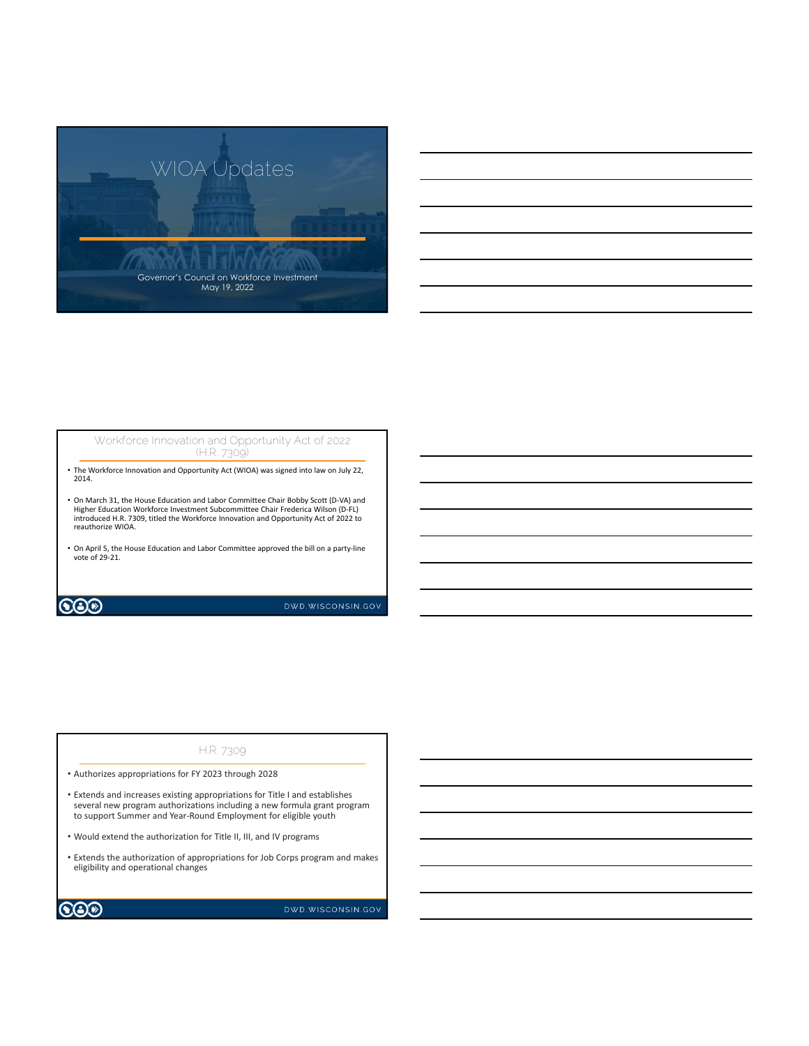

## Workforce Innovation and Opportunity Act of 2022 (H.R. 7309)

- The Workforce Innovation and Opportunity Act (WIOA) was signed into law on July 22, 2014.
- On March 31, the House Education and Labor Committee Chair Bobby Scott (D‐VA) and Higher Education Workforce Investment Subcommittee Chair Frederica Wilson (D‐FL) introduced H.R. 7309, titled the Workforce Innovation and Opportunity Act of 2022 to reauthorize WIOA.
- On April 5, the House Education and Labor Committee approved the bill on a party‐line vote of 29‐21.

**CO** 

DWD.WISCONSIN.GOV

## H.R. 7309

• Authorizes appropriations for FY 2023 through 2028

- Extends and increases existing appropriations for Title I and establishes several new program authorizations including a new formula grant program to support Summer and Year‐Round Employment for eligible youth
- Would extend the authorization for Title II, III, and IV programs
- Extends the authorization of appropriations for Job Corps program and makes eligibility and operational changes

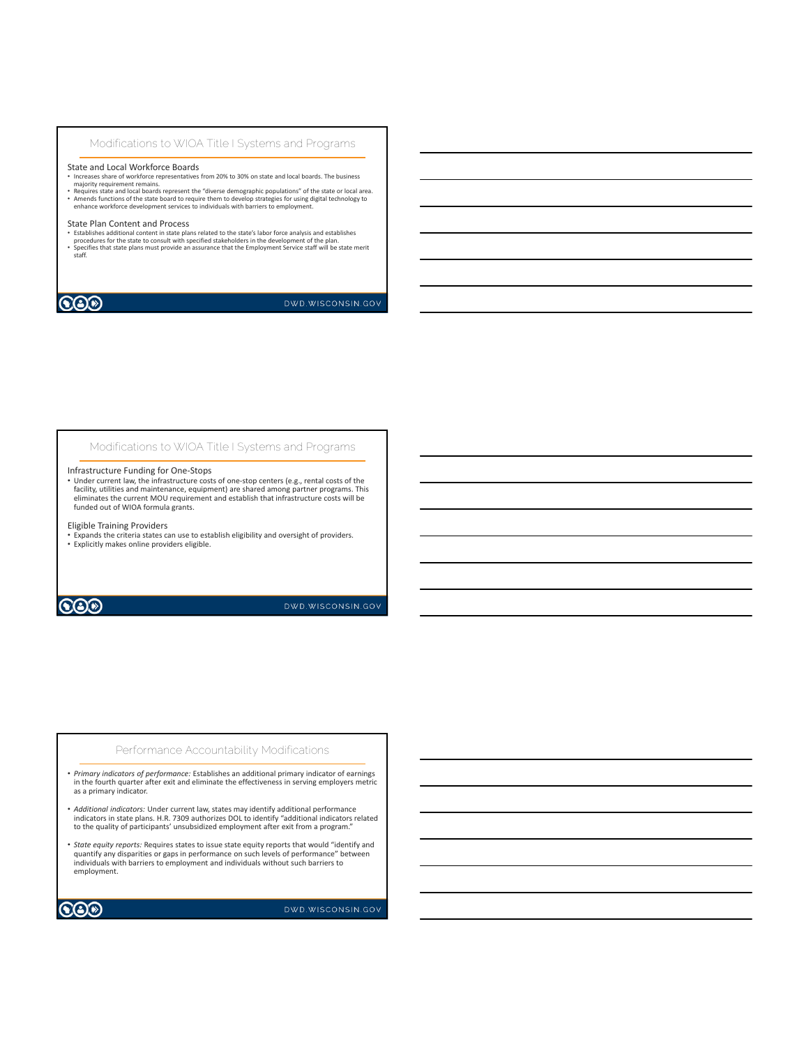## Modifications to WIOA Title I Systems and Programs

#### State and Local Workforce Boards

- 
- Increases share of workforce representatives from 20% to 30% on state and local boards. The business<br>majority requires state and local boards represent the "diverse demographic populations" of the state or local<br>Pequires s

#### State Plan Content and Process

- 
- Establishes additional content in state plans related to the state's labor force analysis and establishes<br>procedures for the state to consult with specified stakeholders in the development of the plan.<br>• Specifies that

## $\bigcircledS$

### DWD.WISCONSIN.GOV

## Modifications to WIOA Title I Systems and Programs

#### Infrastructure Funding for One‐Stops

• Under current law, the infrastructure costs of one‐stop centers (e.g., rental costs of the facility, utilities and maintenance, equipment) are shared among partner programs. This eliminates the current MOU requirement and establish that infrastructure costs will be funded out of WIOA formula grants.

#### Eligible Training Providers

• Expands the criteria states can use to establish eligibility and oversight of providers. • Explicitly makes online providers eligible.

## $\odot$

#### DWD.WISCONSIN.GOV

## Performance Accountability Modifications

- *Primary indicators of performance:* Establishes an additional primary indicator of earnings in the fourth quarter after exit and eliminate the effectiveness in serving employers metric as a primary indicator.
- *Additional indicators:* Under current law, states may identify additional performance indicators in state plans. H.R. 7309 authorizes DOL to identify "additional indicators related to the quality of participants' unsubsidized employment after exit from a program.'
- *State equity reports:* Requires states to issue state equity reports that would "identify and quantify any disparities or gaps in performance on such levels of performance" between individuals with barriers to employment and individuals without such barriers to employment.

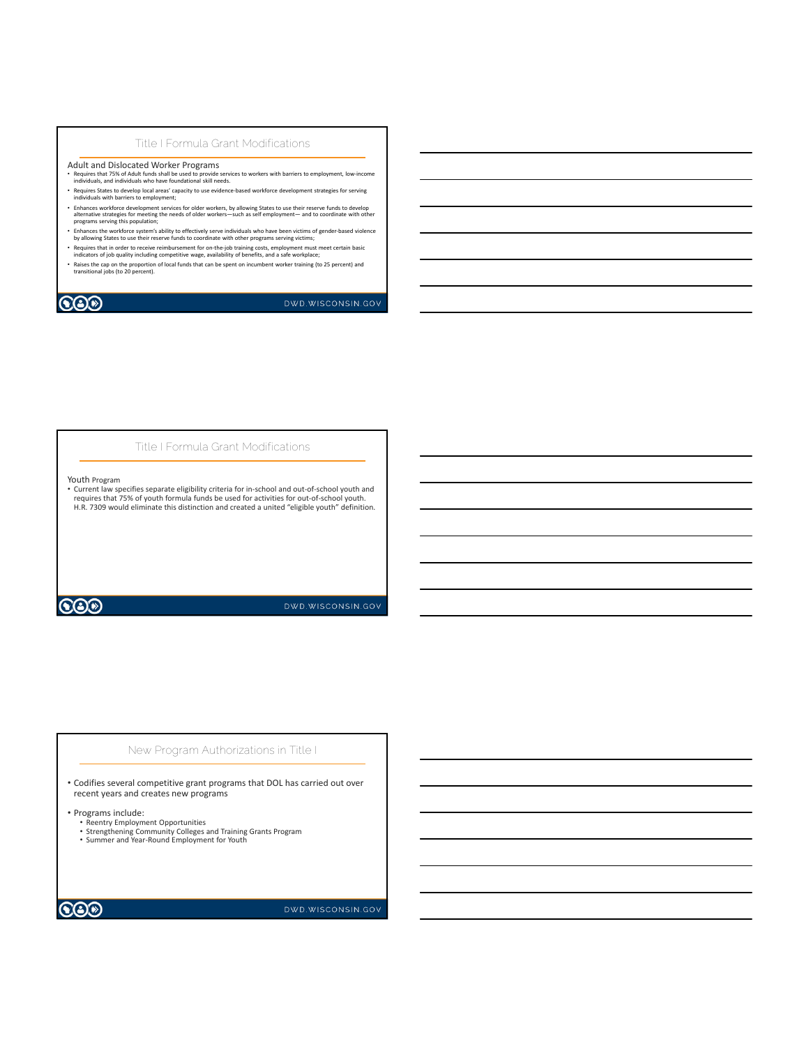### Title I Formula Grant Modifications

Adult and Dislocated Worker Programs

- Requires that 75% of Adult funds shall be used to provide services to workers with barriers to employment, low-income<br>individuals, and individuals who have foundational skill needs.
- Requires States to develop local areas' capacity to use evidence‐based workforce development strategies for serving individuals with barriers to employment;
- Enhances workforce development services for older workers, by allowing States to use their reserve funds to develop<br>alternative strategies for meeting the needs of older workers—such as self employment— and to coordinate
- Enhances the workforce system's ability to effectively serve individuals who have been victims of gender‐based violence by allowing States to use their reserve funds to coordinate with other programs serving victims;
- Requires that in order to receive reimbursement for on‐the‐job training costs, employment must meet certain basic indicators of job quality including competitive wage, availability of benefits, and a safe workplace;
- Raises the cap on the proportion of local funds that can be spent on incumbent worker training (to 25 percent) and transitional jobs (to 20 percent).

 $\bigcircledS$ 

## DWD.WISCONSIN.GOV

Title I Formula Grant Modifications

Youth Program

• Current law specifies separate eligibility criteria for in‐school and out‐of‐school youth and requires that 75% of youth formula funds be used for activities for out‐of‐school youth. H.R. 7309 would eliminate this distinction and created a united "eligible youth" definition.

 $\bigcircledS$ 

DWD.WISCONSIN.GOV

## New Program Authorizations in Title I

• Codifies several competitive grant programs that DOL has carried out over recent years and creates new programs

• Programs include:

- Reentry Employment Opportunities
- Strengthening Community Colleges and Training Grants Program Summer and Year‐Round Employment for Youth
- $\mathbf{CO}\mathfrak{D}$